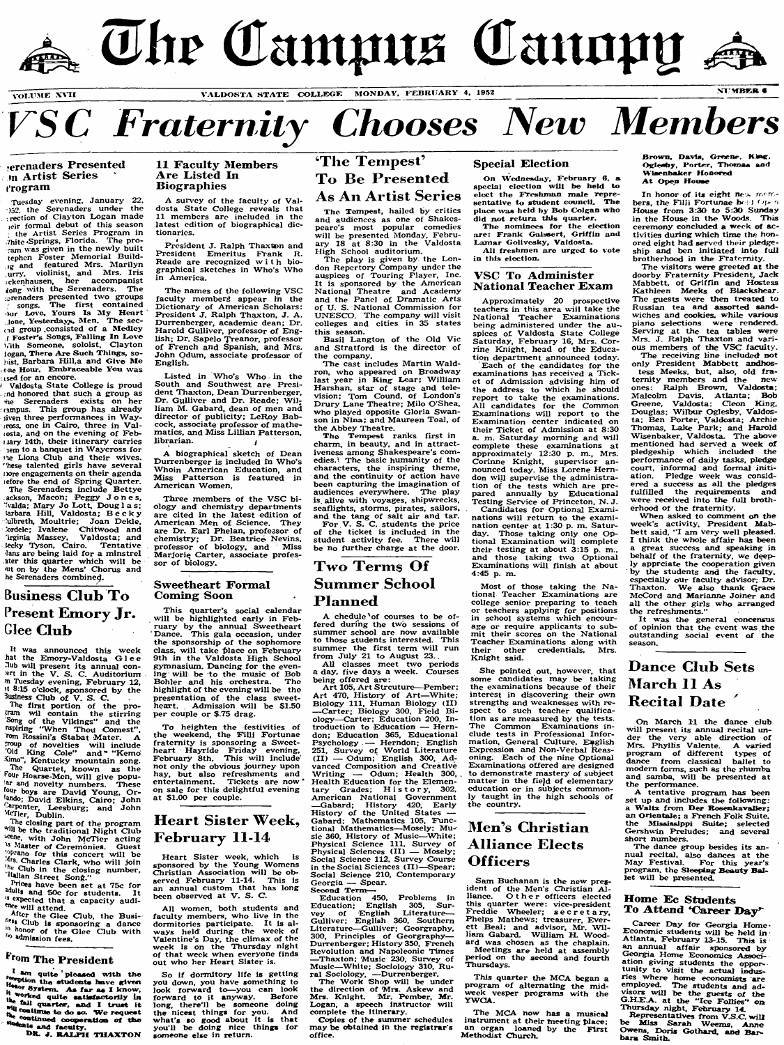



#### erenaders Presented **in Artist Series** t'rogram

**Tuesda^^ evening, January 22. 152. the Serenaders under the** rection of Clayton Logan made **icir formal debut of this season the Artist Series Program in Vhitc'Springs. Florida. The proram was given in the newly built tephcn Foster ATemorial Build- !g and featured Mrs. Alarilyn urr^l violinist, and Airs. Iris sckcnhausen, her accompanist gong with the Serenaders. The :erenadcrs presented two groups songs. The first contained mr Love, Yours Is ^ly Heart Jone, Yesterdays, Alen. The secfid group .consisted of a Medley T Fosters Songs, Falling In Love 1.1th Someone, soloist, Clayton iogan. There Are Sueh Things, so- (bist, Barbara Hill,a and Give Me une Hour, thnbraceable Yon was**

**ised for an encore. ^ Valdosta State College is proud md honored that such a group as The Serenaders exists on her lampus. This group has already** siven three performances in Way-**(ross, one in Cairo, three in Vallosta, and on the evening of Febnary 14th, their itinerary carries lem to a banquet in Waycross for Me Lions Club and their wives, hese talented girls have several uore engagements on their agenda tefore the end of Spring Quarter. The Serenaders include Bettye ackson, ATacon; Peggy Jones,**  $\sqrt[7]{\text{valda}}$ ; Mary Jo Lott, Douglas; **larbara Hill, Valdosta; Becky lilbreth, Moultrie; Joan Dekle, Jordele; Ivalene Chitwood and irginia Massey. Valdosta; and iecky Tyson, Cairo. Tentative !ans are being laid for a minstrel ater this quarter which w ill be lit on by the Mens' Chorus and he Serenaders combine^.**

## **Business Club To** Present Emory Jr. Glee **Club**

**It was announced this week** hat the Emory-Valdosta Glee **^ub will present its annual conert in the V. S. C. Auditorium m Tuesday evening, February 12, n 8:15 o'clock, sponsored by the Business Club of V. S. C.**

**The first portion of the pro-wii contain the stirring Song of the Vikings" and the Mpiring 'IVhen ThoU Comcst",** *fom Rossini's* Stabat Mater. **hwip of novelties will include ^Id King Cole" and " "Kemo =vmo ", Kentucky mountain song. The Quartet, known as the our Hoarse-AIcn, will give popu- !AT and novelty numbers. These** <sup>four</sup> boys are David Young, Or-<br><sup>{ando</sup>; David Elkins, Cairo; John <sup>Carpenter, Leesburg; and John<br><sup>McTier,</sup> Dublin.</sup>

**p** The closing part of the program<br><sup>will</sup> be the traditional Night Club **with John McTier acting**<br><sup>3</sup> Master of Ceremonies. Guest<br><sup>59</sup> Master of Ceremonies. Guest **-p . Charles Clark, who will join** <sup>ne Club</sup> in the closing number,<br><sup>It</sup>alian Street Song."

<sup>2</sup> <sup>2</sup> Tices have been set at 75c for<br>
<sup>adult</sup>s and 50c for students. It *is* expected that a capacity audiwill attend.

**After the Glee Club, the Busi-Club is sponsoring a dance honor of the Glee Ciub with** <sup>th</sup> admission fees.

### **^Tom The President**

**^ quite pioased w ith the the atudents** have given <sup>Hyate</sup>m. As far as I know,<br><sup>ke</sup>d quite <del>a</del>atiafactorily in **Saii quarter, and I truat it reading quartics, many continue to do so.** We request the continued cooperation of the

<sup>ts</sup> and faculty.<br>DR. J. RALPH THAXTON

#### **11 Faculty Members A re Listed In Biographies**

A survey of the faculty of Val**dosta State College reveals that 11 members arc included in the latest edition of biographical dictionaries.**

**President J. Ralph Thaxbon and Piesident Emeritus Frank R. Reade are recognized with biographical sketches in Who's Who in America.**

**The names of the following VSC faculty memberg appear in the Dictionary of American Scholars: President J. Ralph Thaxton, J. A. Durrenberger, academic dean; Dr. Harold Gulliver, professor of English; Dr. Sapelo Treanor, professor of French and Spanish, and Mrs. John Odum, associate professor of English.**

**Listed in Who's Who in the South and Southwest are President Thaxton, Dean Durrenberger,** Dr. Gulliver and Dr. Reade; Wil**liam M. Gabard, dean of men and** director of publicity; LeRoy Bab**cock, associate professor of mathematics, and Aliss Lillian Patterson, librarian. ^**

**A biographical sketch of Dean Durrenberger is included in Who's Whoin American Education, and Miss Patterson is featured in American Women.**

**Three members of the VSC biology and chemistry departments are cited in the latest edition of American Men of Science. They are Dr. Earl Phelan, professor of chemistry; Dr. Beatrice Nevins, professor of biology, and Miss Marjoriq Carter, associate professor of biology.**

#### **Sweethea^rt Formal Coming Soon**

**This quarter's social calendar will be highlighted early in February by the annual Sweetheart Dance. This gala occasion, under the sponsorship of the sophomore class, will take place on February 9th in the Valdosta High School gymnasium. Dancing for the evening will be to the music of Bob Bohler and his orchestra. The highlight of the evening will be the presentation of the class sweet-heart. Admission will be \$1.50 per couple or \$.75 drag.**

**To heighten the festivities of the weekend, the Filli Fortunae fraternity is sponsoring a Sweetheart Hayride Friday evening, February 8th. This will include not only the obvious journey upon hay, but also refreshments and entertainment. Tickets are now ' on sale for this delightful evening at \$1.00 per couple.**

### **Heart Sister Week, February 11-14**

**Heart Sister week, which is sponsored by the Young Womens Christian Association will be observed February 11-14. This is an annual custom that has long been observed at V. S. C.**

**All women, both students and faculty members, who live in the dormitories participate. It is al-ways held during the week of Valentine's Day, the climax of the week is on the Thursday night of that week when everyone finds out who her Heart Sister is.**

**So if dormitory life is getting you down, you have something to look forward to— you can look forward to it anyway. Before long, there'll be someone doing the nicest things for you. And what's so good about it is that you'il be doing nice things for someone else in return.**

## **The Tempest' To Be Presented As An Artist Series**

**The Tempest, hailed by critics and audiences as one of Shakespeare's most popular comedics will be presented Monday, February 18 at 8:30 in the Valdosta High School auditorium.**

**The play is given by the Lon-don Repertory Company under the auspices of Touring Flayer, Inc. It is sponsored by the American National Theatre and Academy and the Panel of Dramatic Arts of U. S. National Commission for UNESCO . The company will visit colleges and cities in 35 states this season.**

**Basil Langton of the Old Vic and Stratford is the director of the company.**

The cast includes Martin Wald**ron, who appeared on Broadway last year in King Lear; William Harshan, star of stage and television; Tom Cound, of London's Drury Lane Theatre; Milo O'Shea, who played opposite Gloria Swanson in Nina; and Maureen Toal, of the Abbey Theatre.**

**The Tempest ranks first in charm, in beauty, and in attractiveness among Shakespeare's comedies.^ The basic humanity of the characters, the inspiring theme, and the continuity of action have been capturing the imagination of audiences everywhere. The play is. alive with voyages, shipwrecks, seaflights, storms, pirates, sailors, and the tang of salt air and tar. For V. S. C. students the price of the ticket is included in the student activity fee. There will** 

**be no further charge at the door.**

## **Two Terms Of S om m er Schoo l P la n n e d**

**A chedule'of courses to be offered during the two sessions of summer school are now available to those students interested. This sunruner the first term will run from July 21 to August 23.**

**A ll classes meet two periods a day, five days a week. Courses being offered are:**

**Art 105, Art Strcuture— Pember; Art 470, History of Art— White; Biology 111, Human Biology (11)** -Carter; Biology 300, Field Bi**ology— Carter; Education 200, Introduction to Education — Herndon; Education 365, Educational Psychology — Herndon; English 251, Survey of World Literature (II) — Odum; English 300, Advanced Composition and Creative Writing — Odum; Health 300, Health Education for the Elementary Grades; History, 302. American National Government — Gabard; History 420, Early History of the United States — Gabard: Mathematics 105, Func-tional ATathematics— Mosely; Mu**sic 360, History of Music-White; **Physical Science 111, Sur\ey of Physical Sciences (11) — Mosely; Social Science 112, Survey Course in the Social Sciences ( I I )—Spear; Social Science 210, Contemporary Georgia — Spear. Second Term—**

**Education 450, Probiems in Education; English 305, Survey of English Literature— Gulliver; English 360, Southern** Literature—Gulliver; Georgraphy,<br>300, Principles of Georgraphy—<br>Durrenberger;History<sup>350</sup>, French **Revolution and Napoleonic Times — Thaxton; Music 230, Survey of ATusic—White: Sociology 310, Ru-**

**ral Sociology, — Durrenberger. The Work Shop will be under the direction of Mrs. Askew and Mrs. Knight. Air. Pember, Mr. Logan, a speech instructor will complete the Itinerary.**

**Copies of the sununer schedules may be obtained in the registrar s**

#### **Special Election**

On Wednesday, February 6. a special election will be held to elect the Freshman male representative to student counciL The place was held by Bob Colgan who did not return this quarter.

The nominees for the election are: Frank Gaissert, Griffin and Lamar Golivesky, Valdosta. All freshmen are urged to vote

in this eiection.

#### **VSC To Administer National Teacher Exam**

**Approximately 20 prospective teachers in this area wiii take the National Teacher Examinations being administered under the au-. spices of Valdosta State College Saturday, February 16, Mrs. Corrine Knight, head of the Education department announced today.**

**Each of the candidates for the examinations has received a Ticket of Admission advising him of the address to which he should report to take the examinations.** All candidates for the Common **Examinations will report to the Examination center indicated on their Ticket of Admission at 8:30 a. m. Saturday morning and will complete these examinations at approximately 12:30 p. m., Mrs. Corinne Knight, supervisor announced today. Miss Lorene Herndon wiU supervise the administration of the tests which are prepared annually by Educational Testing Service of FTinceton, N . J.**

**Candidates for Optional Examinations will return to the examination center at 1:30 p. m. Saturday. Those taking only one Optional Examination will complete their testing at about 3:15 p. m.,** and those taking two Optional **Examinations will finish at about 4:45 p. m.**

**Most of those taking the National Teacher Examinations are college senior preparing to teach or teachers applying for positions in school systems which encourage or require applicants to sub-mit their scores on the National Teacher Examinations along with their other credentials. Airs. Knight said.**

**She pointed out, however, that some candidates may be taking the examinations because of their interest in discovering their own strengths and weaknesses with respect to such teacher qualification as are measured by the tests. The Common Examinations include tests in Professional Infor-mation, General Culture, English Expression and Non-Verbal Reasoning. Each of the nine Optional Examinations offered are designed to demonstrate mastery of subject matter in the fiejd of elementary education or in subjects commonly taught in the high schools of the country.**

## Men's Christian Alliance Elects **Officers**

**Sam Buchanan is the new pres**ident of the Men's Christian Al-<br>liance. Other officers elected **this quarter were: vice-president Freddie Wheeler; s e c r e t a ry,** Phelps Mathews; treasurer, Ever-<br>ett Beal; and advisor, Mr. Wil**liam Gabard. William H. Woodard was chosen as the chaplain. Meetings are held at assembly period on the second and fourth Thursdays.**

**This quarter the MCA began a program of alternating the mid-week vesper programs with the YWOA .**

**The MCA now has a musical instrument at their meeting place; an organ loaned by the First Methodist Church.**

Brown, Davis, Greene, King **Oglesby, Porter, Thomas and Wiaenhaker Hoaow^ A t Open Houae**

In honor of its eight new mem**bers, the Filli Fortunae heid '** Open **House from 3:30 to 5:30 Sunday in the House in the Woods This ceremony concluded a week of activities during which time the honored eight had served their pledgeship and ben initiated into full brotherhood in the Fraternity.**

**The visitors were greeted at the doorby Fraternity Firesident, Jack Alabbett, of Griffin and Hostess Kathleen Aleeks of Blackshear. The guests were then treated to Russian tea and assorted sandwiches and cookies, while various piano selections were rendered. Serving at the tea tables were Airs. J. Ralph Thaxton and various members of the VSC faculty.**

**The receiving line included not only President Mabbett andhostess Meeks, but, also, old fraternity members and the new ones: RaJph Browm, Valdosta; Malcolm Davis, Atlanta; Bob Greene, Valdosta: Cleon King, Douglas; W ilbur Oglesby, Valdosta; Ben Porter, Valdosta; Archie Thomas, Lake Park ; and Harold Wisenbaker, Valdosta. The above mentioned had served a week of pledgeship which included the performance of daily tasks, pledge court, informal and formal initiation. Pledge week was considered a success as all the pledges fulfilled the requirements and were received into the full brotherhood of the fraternity.**

**When asked to comment on the week's activity. President Mabbett said, " I am very well pleased. I think the whole affair has been a great success and speaking in behalf of the fraternity, we deeply apprciate the cooperation given by the students and the faculty, especially our faculty advisor; Dr.** Thaxton. We also thank Grace **AlcCord and Marianne Joiner and all the other girls who arranged the refreshments."**

**It was the general concensus of opinion that the event was the outstanding social event of the season.**

## **Dance Club Sets March 11 As Recital Date**

On March 11 the dance club **will present its annual recital under the very able direction of Mrs. Phyllis Valente. A varied program of different types of dance from classical ballet to modem forms, such as the rhumba and samba, will be presented at the performance.**

**A tentative program has been set up and includes the foUowing:** a Waltz from Der Rosenkavalier; **an Orientaie; a Freneh Folk Suite, the ABssiasippi Suite; selected Gershwin Preludes; and several short numbers.**

**The dance group besides its annual recital, also dances at the ATay Festival. For this year's program, the Sleeping Beauty Ballet will be presented.**

#### **Home Students To Attend ^Career Day^**

**Career Day for Georgia Home\* Economic students will be held in Atlanta, February 13-15. This is an annual affair sponsored by Georgia Home Economics Association giving students the opportunity to visit the actual indusries where home economists are employed. The students and advisors will be the guests of the G .H .EA . at the "Ice Follies" on T h i^d ay night, February 14.**

**Representatives from VJ5.C. w ill be Miss Sarah Weems, Anne Owens. Doris Gothard, and Bar^ bara Smith.**

**office.**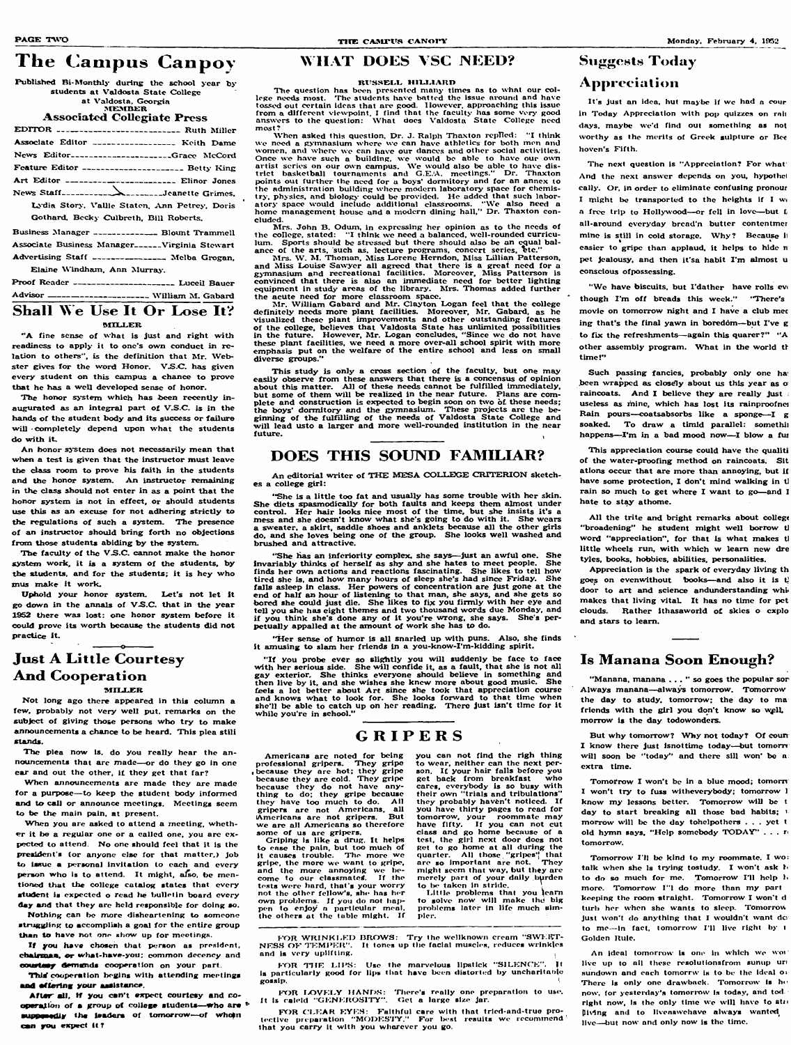# The Campus Canpoy

Published Bi-Monthly during the school year by **students at Valdosta State College at Valdosta, Georgia**

#### **MEMBER Associated GoHegiato Press**

| EDITOR ---------------------------- Ruth Miller               |
|---------------------------------------------------------------|
| Associate Editor ------------------- Keith Dame               |
| News Editor--------------------Grace McCord                   |
| Feature Editor ---------------------- Betty King              |
| Art Editor ------------------------ Elinor Jones              |
| News Staff-----------------------Jeanette Grimes,             |
| Lydia Story, Vallie Staten, Ann Petrey, Doris                 |
| Gothard, Becky Culbreth, Bill Roberts,                        |
| Business Manager _____________ Blount Trammell                |
| Associate Business Manager <sub>-----</sub> -Virginia Stewart |
| Advertising Staff _______________ Melba Grogan.               |
|                                                               |

Proof Reader ----------------------- Luceil Bauer **A d v iso r--------------------------------------- W illiam AI. G abard**

Elaine Windham, Ann Murray.

#### **Shall We Use It Or Lose It? MILLER**

"A fine sense of what is just and right with **readiness to apply it to one's own conduct in re**lation to others", is the definition that Mr. Web**ster gives for the word Honor. V.S.C. has given every student on this campus a chance to prove** that he has a well developed sense of honor.

**An honor system does not necessarily mean that when a test is given that the instructor must leave the class room to prove his faith in the students** and the honor system. An instructor remaining **in the class should not enter in as a point that the honor system is not in effect, or should students use this as an excuse for not adhering strictly to the regulations of such a system. The presence of an instructor shouid bring forth no objections** from those students abiding by the system.

The faculty of the V.S.C. cannot make the honor system work, it is a system of the students, by **the students, and for the students: it is hey who mus make It work.**

**The honor system which has been recently in**augurated as an integral part of V.S.C. is in the hands of the student body and its success or failure will completely depend upon what the students **do w ith it.**

The question has been presented many times as to what our col**lege needs most. The students have batted the issue around and have tossed out certain ideas that arc good However, approaching this issue from a different viewpoint. I find that the faculty has some very good answers to the question: W hat does Vaidosta State Goiiege need most?**

**Uphold your honor system. Let's not let it go down in the annals of V .S.C . that in the year** 1952 there was lost: one honor system before it **could prove its worth because the students did not practice it**

### **Just A Little Courtesy And Cooperation MILLER**

An editorial writer of THE MESA COLLEGE CRITERION sketch**es a college girl:**

**When asked this question. Dr. J. Ralph Thaxton replied: 'T think we need a gymnasium where we can have athletics for both men and women, and where we can have our dances and otiier social activities. Once we have such a building, we would be able to have our own** artist series on our own campus. We would also be able to have dis-<br>trict basketball tournaments and G.E.A. meetings." Dr. Thaxton **points out further the need for a boys' dormitory and for an annex to the administration buiiding where modern laboratory space for chemis**try, physics, and biology could be provided. He added that such labor-<br>hory space would include additional classrooms. "We also need a atory space would include additional classrooms. home management house and a modern dining hall," Dr. Thaxton con**cluded.**

Mrs. John B. Odum, in expressing her opinion as to the needs of **the college, stated: " I think wc need a balanced, well-rounded curricu**lum. Sports should be stressed but there should also be an equal balance of the arts, such as, lecture programs, concert series,

Her sense of humor is all snarled up with puns. Also, she finds **it amusing to slam her friends in a you-know-1'm-kldding spirit.**

The plea now is, do you really hear the announcements that are made—or do they go in one **car and out the other, if they get that far?**

**Nothing can he niorc disheartening to someone** struggling to accomplish a goal for the entire group than to have not one show up for meetings.

If you have chosen that person as president, chairmaa, or what-have-you; common decency and **oow taay demands cooperation on your part**

This cooperation begins with attending meetings **and afloring your aaaistance.**

**Airs. W . AI. Thoman, Aliss Lorene Herndon, Aliss Lillian Patterson,** and Miss Louise Sawyer all agreed that there is a great need for a **gymnasium and recreational facilities. Moreover, Aliss Patterson is convinced that there is also an immediate need for better lighting equipment in study areas of the library. Airs. Thomas added further the acute need for more classroom space.**

After all, if you can't expect courtesy and cooperation of a group of college students—who are <sup>\$</sup> supposedly the isaders of tomorrow--of whomn **can you axpact it?**

"If you probe ever so slightly you will suddenly be face to face with her serious side. She will confide it, as a fault, that she is not all **gay exterior. She thinks everyone shouid believe in something and then live by it, and she wishes she knew more about good music. She feels a lot better about A rt since she took that appreciation course and knows what to look for. She looks forward to that time when** she'll be able to catch up on her reading. There just isn't time for it **while you're in school."**

**Air. W illiam G abard and Air. Clayton Logan feel that the college dcfiniteiy needs more plant facilities. Aloreover, Mr. Gabard, as he visualized these plant improvements and other outstanding features** of the college, believes that Valdosta State has unlimited possibilities **in the future. However, Air. Logan concludes. "Since wc do not have** these plant facilities, we need a more over-all school spirit with more **emphasis put on the w e lfare of the entire school and less on small diverse groups."**

> **you can not find the righ thing to wear, neither can the next per**son. If your hair falls before you **get back from breakfast who cares, everybody is so busy with their own "triais and tribulations "** they probably haven't noticed. If **you have thirty pages to read for tomorrow, your roommate may have fifty. If you can not cut ciass and go homo because of a test, the girl next door docs not get to go home at all during the quarter. A ll those "gripes'^ tha^t are so Important arc not. They might seem that way, but th^y arc merely part of your daily burden** to be taken in stride.

#### **PAGE TWO** Monday, February 4, 1952

**Little problems that you to solve now will make thd big probiems later in life much slm**pler.

FOR WRINKLED BROWS: Try the wellknown cream "SWEIT-**NESS OF TEMPER".** It tones up the facial muscles, reduces wrinkles and is very uplifting.

FOR THE LIPS: Use the marvelous lipstick "SILENCE". It is particularly good for lips that have been distorted by uncharitable  $\boldsymbol{g}$ ossip.  $\boldsymbol{\theta}$ 

**This study is only a cross section of the faculty, but one may easily observe from these answers that there is a concensus of opinion** about this matter. All of these needs cannot be fulfilled immediately, but some of them will be realized in the near future. Plans are complete and construction is expected to begin soon on two of these needs; the boys' dormitory and the gymnasium. These projects are the be**ginning of the fu lfilling of the needs of Valdosta State College and w ill lead usto a larger and more well-rounded institution in the near future.**

## **DOES THIS SOUND FAMILIAR?**

**F f)R IjO V E LY i lA N D S : Tiiere's reaiiy one preparation to use.** It is caleid "GENEROSITY". Get a large size jar.

## **Suggests Today Appn € e iatiim**

It's just an idea, hut maybe if we had a cour **in Today Appreciation with pop quizzes on rai) days, maybe we'd find out something as not worthy as the merits of Greek suipturc or Bee hovcn's Fifth.**

**"She is a little too fat and usually has some trouble with her skin. She diets spasmodically for both faults and keeps them almost under** control. Her hair looks nice most of the time, but she insists it's a mess and she doesn't know what she's going to do with it. She wears **a sweater, a skirt, saddle shoes and anklets because all the other girls** do, and she loves being one of the group. She looks well washed and **brushed and attractive.**

"We have biscuits, but I'dather have rolls even **though I'm off breads this week. " "There's movie on tomorrow night and I have a club met ing that's the final yawn in boredom— but I've g to fix the refreshments— again this quarer?" "A** other assembly program. What in the world th **tim e!"**

**Such passing fancies, probably only one ha** been wrapped as closely about us this year as o raincoats. And I believe they are really just **useless as mine, which has lost its rainproofnoi** Rain pours—coatsabsorbs like a sponge—I g soaked. To draw a timid parallel: somethii happens-I'm in a bad mood now-I blow a fus

All the trite and bright remarks about college **"broadening" he student might well borrow tJ word "appreciation", for that is what makes tJ** little wheels run, with which w learn new dre **tyles, books, hobbies, abilities, personalities.**

**"She lias an inferiority complex, she says— just an aw ful one. She invariably thinks of herself as shy and she hates to meet peopic. She finds her owm actions and reactions fascinating. She likes to tell how tired she is, and how many hours of sleep she's had since Friday. She** falls asleep in class. Her powers of concentration are just gone at the **end of half an hour of listening to that man, she says, and she gets so** bored she could just die. She likes to fix you firmly with her eye and **tell you she has eight themes and two thousand words due Monday, and if you think she's done any of it you're wrong, she says. She's perpetually appalled at the amount of work she has to do.**

> But why tomorrow? Why not today? Of count **I know there just isnottimo today— but tomorrs** will soon be "today" and there sill won' be a **extra time.**

Tomorrow I won't be in a blue mood; tomorn **I won't try to fuss witheverybody; tomorrow 1 know my lessons bettor. Tomorrow will be t day to start breaking all those bad habits; i morrow will be the day tohelpothers . . . yet t** old hymn says. "Help somebody TODAY" **tomorrow.**

**Not long ago there appeared in this column a few, probably not very well put. remarks on the subject of giving those persons who try to make announcements a chance to be heard. This plea stili stands.**

> **FOR CLEAR EYES:** Faithful care with that tried-and-true protective preparation "MODESTY." For best resuits we recommend **that you carry it with you whnrcvcr you go.**

**When announcements arc made they arc made for a purpose— to keep the student body informed and to call or announce meetings. Meetings seem to be the main pain, at present.**

**When you are asked to attend a meeting, whether it be a regular one or a caiied one, you are ex**pected to attend. No one should feel that it is the president's (or anyone else for that matter.) job **to issue a personai invitation to each and every** person who is to attend. It might, also, be men**tioned that the coiicge catalog states that every student is expected o read he bulletin board every day and that they are held responsible for doing so.**

### **WHAT DOES VSC NEED?**

#### RUSSELL HILLIARD

### **G R I P E R S**

**Americans arc noted for being** professional gripers. **, because they are hot; they gripe because they are coid. They gripe because they do not have anything to do; they gripe because** they have too much to do. All **gripers are not Americans, all Americans arc not gripers. But w c arc al! Americans so therefore**

**some of us arc gripers.**

**Griping is like a drug. It helps to ease the pain, but too much of it causes troubic. ITie more wc gripe, the more we want to gripe, and the more annoying we become to our ciassmatcS. If the tests were hard, that's your worry not the other fellow's, she has her own prohlems. If you do not iiappen to enjoy a particular meai. the others at the table might. If**

**The next question is "Appreciation? For what And the next answer depends on you. hypothct caily. Or, in order to eliminate confusing pronour I might be transported to the heights if I a free trip to Hollywood— or fell in love— but L** all-around everyday bread'n butter contentmer mine is still in cold storage. Why? Because if **easier to gripe than applaud, it helps to hide n pet jealousy, and then it'sa habit I'm almost u conscious ofpossessing.**

**This appreciation course could have the quallti of the water-proofing method on raincoats. Sit ations occur that are more than annoying, but if** have some protection, I don't mind walking in tl **rain so much to get where I want to go— and 1 hate to stay athome.**

**Appreciation is the spark of everyday living th** goes on evcnwithout books—and also it is t **door to art and science andunderstanding whi\* makes that living vitaL It has no time for pet clouds. Rather ithasaworld ot skies o cxpio and stars to leam .**

### **Is Manana Soon Enough?**

**"Manana, manana ..." so goes the popular so A lw ays manana— always tomorrow. Tomorrow** the day to study, tomorrow; the day to ma **friends with the girl you don't know so \^yll. morrow is the day todowondcrs.**

**Tomorrow 1 11 be kind to my roommate. I wo: talk when she la trying tostudy. I won't ask Ito do so much for me. Tomorrow I'll help 1<** more. Tomorrow I''l do more than my part **keeping the room straight. Tomorrow I won't d** turb her when she wants to sleep. Tomorrow **Just won't do anything that I wouldn't want dc: to me— in fact, tomorrow I'll live right hy t Goidon Ruio.**

**An ideal tomorrow is one in which we woi** live up to all these resolutionsfrom sunup urt **sundown and each tomorrw is to be the ideal or** There is only one drawback. Tomorrow is he **now. for ycstet^iny's tomorrow is today, and tod** right now, is the only time we will have to star **phlng and to liveaswehave always wanted live— but now and only now is the time.**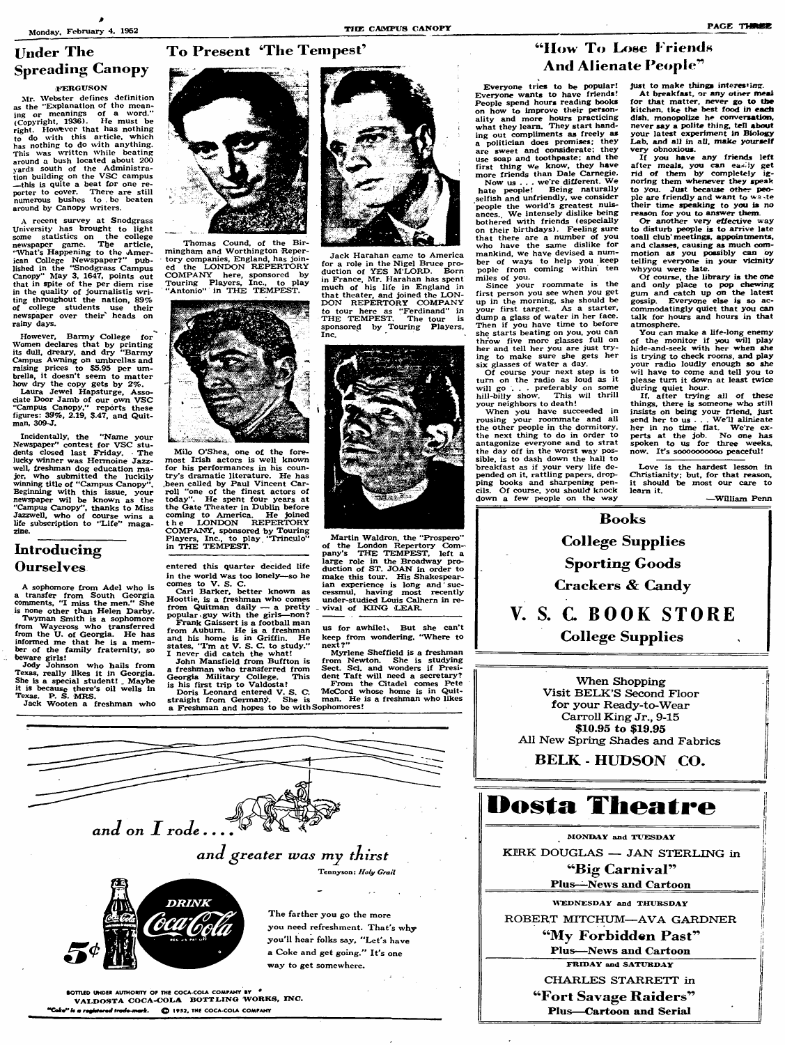## **To Present 'The Tempest'**

## **Under The Spreading Canopy**

#### **FERGUSON**

**Mr. Webster defines definition** as the "Explanation of the mean**ing or meanings of a word." (Copyright, 1936). He must be right. However that has nothing to do with this article, which has nothing to do with anything. This was written whiic beating around a bush located about 200 y a rd s south of the Administration building on the VSC campus this is quite a beat for one reporter to cover. There are still numerous bushes to . be beaten around by Canopy writers.**

**A recent survey at Snodgrass University has brought to light some statistics on the college newspaper game. The article,** "What's **Happening** to the Amer**ican College Newspaper?" published in the "Snodgrass Campus Canopy" May 3, 1647, points out that in spite of the per diem rise in the quality of joumalistis writing throughout the nation, 89% of college students use their newspaper over their' heads on rainy days.**

**However, Barmy College for Women declares that by printing its dull, dreary, and dry "Barmy Campus Awning on umbrellas and raising prices to \$5.95 per umbrella, it doesn't seem to matter how dry the copy gets by 2%.**

**Laura Jewel Hapsturge, Associate Door Jamb of our own VSC "Campus Canopy." reports these figures: 39%, 2.19, \$.47, and Quitman, 309-J.**

**Incidentally, the "Name your Newspaper" contest for VSC students closed last Friday. The iucky winner was Hermoine Jazzwell, freshman dog education major, who submitted the luckily winning title of "(Campus Canopy Beginning with this issue, your newspaper wii be known as the "Campus Canopy", thanks to Miss Jazzwell, who of course wins a life subscription to "L ife" magazine.**

### **Introducing Ourselves**

**A sophomore from Adel who is a transfer from South Georgia comments, "I miss the men." She is none other than Helen Darby. Twyman Smith is a sophomore from Waycross who transferred from the U. of Georgia. He has** informed me that he is a mem-<br>ber of the family fraternity, so

**beware girls! Jody Johnson who hails from Texas, really likes it in Georgia. She is a special student! \_ Maybe it is because there's oil wells in Texas. B. S. MRS. Jack Wooten a freshman who**



**Thomas Cound, of the Birmingham and Worthington Repertory companies. England, has join**the LONDON REPERTORY **COM PA N Y here, sponsored by Touring Players, Inc., to play** "Antonio" in THE TEMPEST.



**Milo O'Shea, one of the forernost Irish actors is well known for his performances in his country's dramatic literature. He has .been called by Paul Vincent Carroll "one of the finest actors of today". He spent four years at the Gate Theater in Dublin before coming to America. He joined t h e LO N D O N REPERTORY COMPANY , sponsored by Touring Players, Inc., to play Trinculo" in THE TEMPEST.**

**entered this quarter decided life in the world was too lonely— so he comes to V. S. C.**

**Carl Barker, better known as Hoottie, is a freshman who comes from Quitman daily — a pretty** popular guy with the girls—non? **Frank Gaissert is a football man from Auburn. He is a freshman and his home is in Griffin. He states, "I'm at V. S. C. to study."**

**I never did catch the what! John Mansfield from Buffton is a freshman who transferred from Georgia Military College. This is his first trip to Valdosta f**

**Doris Leonard entered V. S. C: straight from Germany). She is a Freshman and hopes to be with Sophomores!**



**Jack Harahan came to America for a role in the Nigel Bruce pro-duction of YES M'LORD. Born in France, Mr. Harahan has spent much of his life in England in** that theater, and joined the LON-**DON REPERTORY COMPANY to tour here as "Ferdinand" in THE TEMPEST. The tour is sponsored by Touring Players, Inc.**



**Martin Waldron, the 'Prospero " of the London Repertory Company's THE TEMPEST, left a large role in the Broadway pro-duction of ST. JG AN in order to make this tour. His Shakespearian experience is long and suc-cessmul. having most recently under-studied Louis Calhern in re**vival of KING LEAR.

us for awhile!, But she can't **keep from wondering, "Where to next?"**

**Myrlene Sheffield is a freshman from Newton. She is studying Sect. Sci. and wonders if Presi-dent Taft will need a secretary? From the Citadel comes Pete**

**McCord whose hcane is in Quit-man. He is a freshman who likes**

## *<u>How To Lose Friends</u>* And Alienate People<sup>?</sup>

**Everyone tries to be popular! Everyone wants to have friends! People spend hours reading books on how to improve their personaiity and more hours practicing what they leam. They start handing out compliments as freely as a politician does promises: they are sweet and considerate; they use soap and toothpaste: and the first thing we know, they have more friends than Daie Carnegie.**

**Now us . . . we re different. W e hate people! Being naturally selfish and unfriendly, we consider** people the world's greatest nuisances.<sub>.</sub> We intensely dislike being **bothered with friends (especially on their birthdays). Feeling sure that there are a number of you who have the same dislike for mankind, we have devised a number of ways to help you keep pople from coming within ten**

**miles of you. Since your roommate is the first person you see when you get up in the morning, she should be your first target. As a starter, dump a glass of water in her face. Then if you have time to before she starts beating on you, you can throw five more glasses full on her and tell her you are just trying to make sure she gets her six glasses of water a day.**

**Of course your next step is to turn on the radio as loud as it will go . . . preferably on some hiU-biily show. This wii thrill your neighbors to death!**

**When you have succeeded in rousing your roommate and all the other people in the dormitory, the next thing to do in order to antagonize everyone and to strat the day off in the worst way possible. is to dash down the hall to breakfast as if your very life depended on it, rattling papers, dropping books and sharpening pencils. O f course, you should knock down a few people on the way**

**just to make things interesting At breakfast, or any other meal for that matter, never go to the kitchen, tke the best food in each dish, monopolize he conversation, never say a polite thing. teH about your latest experiment in Biology Lab. and all in all, make yourself very obnoxious.**

**If you have any friends left after meals, you can ea^ :y get rid of them by completely ig-noring them whenever they speak to you. Just because other people are friendly and want to wa te their time speaking to you is no reason for you to answer them**

**Gr another very effective way to disturb people is to arrive late toall club meetings, appointments, and classes, causing as much commotion as you possibly can by telling everyone in your vicinity whyyou were late.**

**G f course, the library is the one and only place to pop chewing gum and catch up on the latest gossip. Everyone else is so accommodatingly quiet that you can talk for hours and hours in that atmosphere.**

**You can make a life-long enemy of the monitor if you will play hide-and-seek with her when she is trying to check rooms, and play your radio loudly enough so she wii have to come and tell you to please turn it down at least twice during quiet hour.**

**If, after trying all of these things, there is someone who still insists on being your friend, just send her to us . . . W e ll alinieate** her in no time flat. We're ex**perts at the job. No one has spoken to us for three weeks, now. lUs soooooooooo peaceful!**

**Love is the hardest lesson in Christianity; but, for that reason, it should be most our care to leam it.**

**— W illiam Penn**

**B o o k s College Supplies Sporting Goods Crackers & Candy** V. S. C. BOOK STORE **Co llege Supplies**

**When Shopping Visit BELK 'S Second Floor for your Ready-to-Wear Carroll King Jr., 9-15 \$10.93 to \$19.95 AH New Spring Shades and Fabrics**

**BELK - HUDSON CO.** 

# **Dosta Theatre**

**MONDAY and TUESDAY KIRK DOUGLAS — JAN STERLING in B ig Carn iva lI??**

**PIus-^News and Cartoon**

**WEDNESDAY and THURSDAY** 

**ROBERT MITCHUM—AVA GARDNER** 

"My Forbidden Past"

**rius— ^News and Cartoon**

**FRIDAY and SATURDAY** 

**CHARLES STARRETT in Fort Savage Raiders Plus— Cartoon and Serial**



and on I rode....

The farther you go the more you need refreshment. That's why you'll hear folks say, "Let's have a Coke and get going." It's one way to get somewhere.

**Tennyson:**

SOTTLED UNDER AUTHORITY OF THE COCA-COLA COMPANY BY **VALDOSTA COCA-COLA BOTTLING WORKS, INC.** "Coke" is a registered trade-mark. © 1952, THE COCA-COLA COMPANY